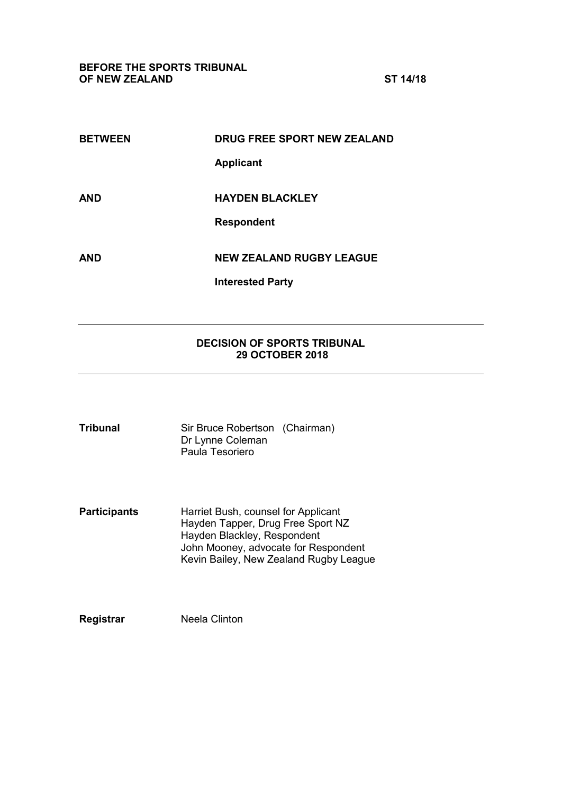**BEFORE THE SPORTS TRIBUNAL OF NEW ZEALAND ST 14/18**

| <b>BETWEEN</b> | DRUG FREE SPORT NEW ZEALAND     |  |
|----------------|---------------------------------|--|
|                | <b>Applicant</b>                |  |
| <b>AND</b>     | <b>HAYDEN BLACKLEY</b>          |  |
|                | <b>Respondent</b>               |  |
| <b>AND</b>     | <b>NEW ZEALAND RUGBY LEAGUE</b> |  |
|                | <b>Interested Party</b>         |  |

## **DECISION OF SPORTS TRIBUNAL 29 OCTOBER 2018**

| <b>Tribunal</b> | Sir Bruce Robertson (Chairman) |  |
|-----------------|--------------------------------|--|
|                 | Dr Lynne Coleman               |  |
|                 | Paula Tesoriero                |  |

**Participants** Harriet Bush, counsel for Applicant Hayden Tapper, Drug Free Sport NZ Hayden Blackley, Respondent John Mooney, advocate for Respondent Kevin Bailey, New Zealand Rugby League

**Registrar** Neela Clinton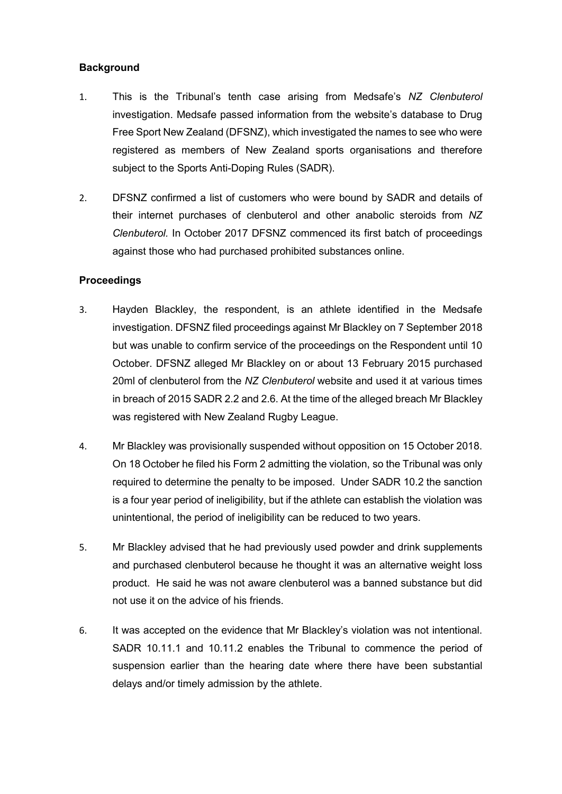## **Background**

- 1. This is the Tribunal's tenth case arising from Medsafe's *NZ Clenbuterol*  investigation. Medsafe passed information from the website's database to Drug Free Sport New Zealand (DFSNZ), which investigated the names to see who were registered as members of New Zealand sports organisations and therefore subject to the Sports Anti-Doping Rules (SADR).
- 2. DFSNZ confirmed a list of customers who were bound by SADR and details of their internet purchases of clenbuterol and other anabolic steroids from *NZ Clenbuterol.* In October 2017 DFSNZ commenced its first batch of proceedings against those who had purchased prohibited substances online.

## **Proceedings**

- 3. Hayden Blackley, the respondent, is an athlete identified in the Medsafe investigation. DFSNZ filed proceedings against Mr Blackley on 7 September 2018 but was unable to confirm service of the proceedings on the Respondent until 10 October. DFSNZ alleged Mr Blackley on or about 13 February 2015 purchased 20ml of clenbuterol from the *NZ Clenbuterol* website and used it at various times in breach of 2015 SADR 2.2 and 2.6. At the time of the alleged breach Mr Blackley was registered with New Zealand Rugby League.
- 4. Mr Blackley was provisionally suspended without opposition on 15 October 2018. On 18 October he filed his Form 2 admitting the violation, so the Tribunal was only required to determine the penalty to be imposed. Under SADR 10.2 the sanction is a four year period of ineligibility, but if the athlete can establish the violation was unintentional, the period of ineligibility can be reduced to two years.
- 5. Mr Blackley advised that he had previously used powder and drink supplements and purchased clenbuterol because he thought it was an alternative weight loss product. He said he was not aware clenbuterol was a banned substance but did not use it on the advice of his friends.
- 6. It was accepted on the evidence that Mr Blackley's violation was not intentional. SADR 10.11.1 and 10.11.2 enables the Tribunal to commence the period of suspension earlier than the hearing date where there have been substantial delays and/or timely admission by the athlete.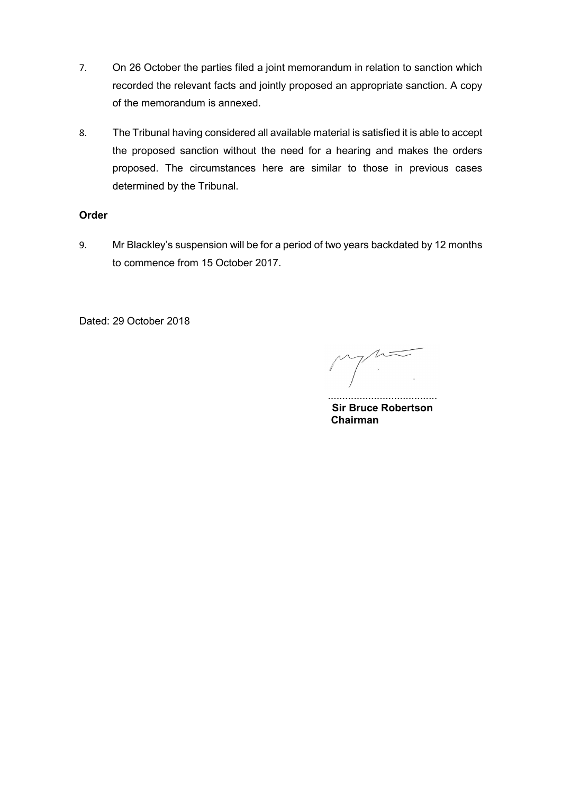- 7. On 26 October the parties filed a joint memorandum in relation to sanction which recorded the relevant facts and jointly proposed an appropriate sanction. A copy of the memorandum is annexed.
- 8. The Tribunal having considered all available material is satisfied it is able to accept the proposed sanction without the need for a hearing and makes the orders proposed. The circumstances here are similar to those in previous cases determined by the Tribunal.

## **Order**

9. Mr Blackley's suspension will be for a period of two years backdated by 12 months to commence from 15 October 2017.

Dated: 29 October 2018

 $\Lambda$ 

...................................... **Sir Bruce Robertson Chairman**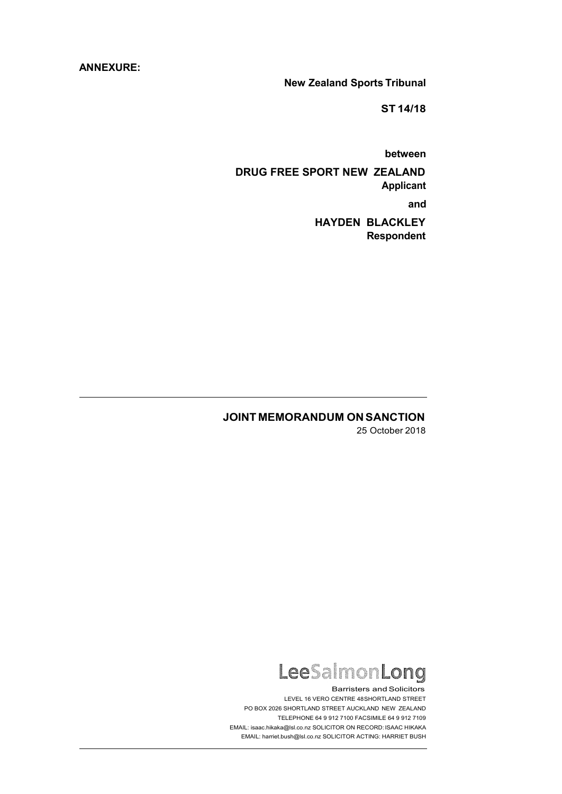### **ANNEXURE:**

**New Zealand Sports Tribunal**

**ST 14/18**

**between**

**DRUG FREE SPORT NEW ZEALAND Applicant and**

> **HAYDEN BLACKLEY Respondent**

# **JOINT MEMORANDUM ON SANCTION**

25 October 2018



**Barristers and Solicitors** LEVEL 16 VERO CENTRE 48SHORTLAND STREET PO BOX 2026 SHORTLAND STREET AUCKLAND NEW ZEALAND TELEPHONE 64 9 912 7100 FACSIMILE 64 9 912 7109 EMAIL[: isaac.hikaka@lsl.co.nz](mailto:isaac.hikaka@lsl.co.nz) SOLICITOR ON RECORD: ISAAC HIKAKA EMAIL[: harriet.bush@lsl.co.nz](mailto:harriet.bush@lsl.co.nz) SOLICITOR ACTING: HARRIET BUSH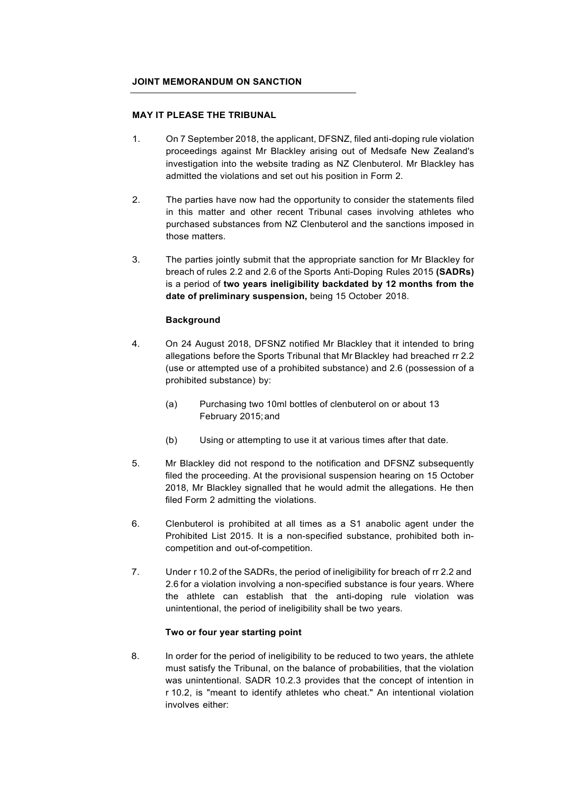#### **JOINT MEMORANDUM ON SANCTION**

#### **MAY IT PLEASE THE TRIBUNAL**

- 1. On 7 September 2018, the applicant, DFSNZ, filed anti-doping rule violation proceedings against Mr Blackley arising out of Medsafe New Zealand's investigation into the website trading as NZ Clenbuterol. Mr Blackley has admitted the violations and set out his position in Form 2.
- 2. The parties have now had the opportunity to consider the statements filed in this matter and other recent Tribunal cases involving athletes who purchased substances from NZ Clenbuterol and the sanctions imposed in those matters.
- 3. The parties jointly submit that the appropriate sanction for Mr Blackley for breach of rules 2.2 and 2.6 of the Sports Anti-Doping Rules 2015 **(SADRs)**  is a period of **two years ineligibility backdated by 12 months from the date of preliminary suspension,** being 15 October 2018.

### **Background**

- 4. On 24 August 2018, DFSNZ notified Mr Blackley that it intended to bring allegations before the Sports Tribunal that Mr Blackley had breached rr 2.2 (use or attempted use of a prohibited substance) and 2.6 (possession of a prohibited substance) by:
	- (a) Purchasing two 10ml bottles of clenbuterol on or about 13 February 2015;and
	- (b) Using or attempting to use it at various times after that date.
- 5. Mr Blackley did not respond to the notification and DFSNZ subsequently filed the proceeding. At the provisional suspension hearing on 15 October 2018, Mr Blackley signalled that he would admit the allegations. He then filed Form 2 admitting the violations.
- 6. Clenbuterol is prohibited at all times as a S1 anabolic agent under the Prohibited List 2015. It is a non-specified substance, prohibited both incompetition and out-of-competition.
- 7. Under r 10.2 of the SADRs, the period of ineligibility for breach of rr 2.2 and 2.6 for a violation involving a non-specified substance is four years. Where the athlete can establish that the anti-doping rule violation was unintentional, the period of ineligibility shall be two years.

### **Two or four year starting point**

8. In order for the period of ineligibility to be reduced to two years, the athlete must satisfy the Tribunal, on the balance of probabilities, that the violation was unintentional. SADR 10.2.3 provides that the concept of intention in r 10.2, is "meant to identify athletes who cheat." An intentional violation involves either: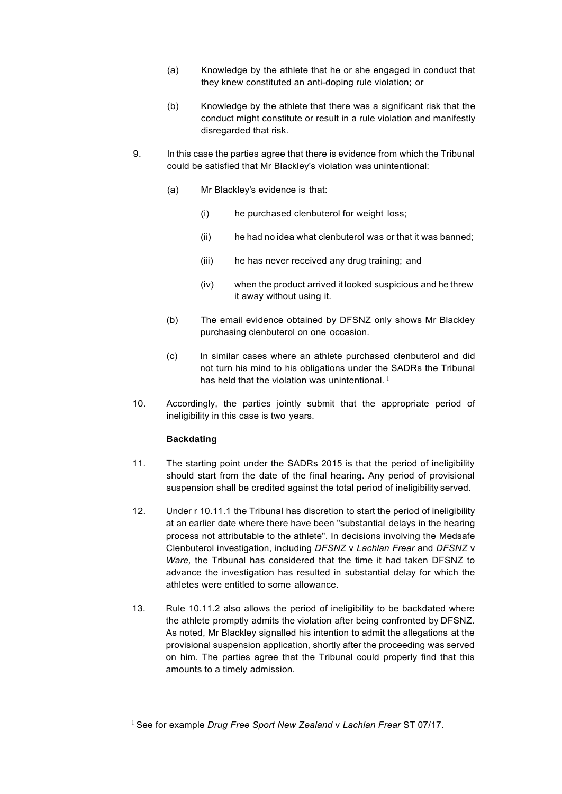- (a) Knowledge by the athlete that he or she engaged in conduct that they knew constituted an anti-doping rule violation; or
- (b) Knowledge by the athlete that there was a significant risk that the conduct might constitute or result in a rule violation and manifestly disregarded that risk.
- 9. In this case the parties agree that there is evidence from which the Tribunal could be satisfied that Mr Blackley's violation was unintentional:
	- (a) Mr Blackley's evidence is that:
		- (i) he purchased clenbuterol for weight loss;
		- (ii) he had no idea what clenbuterol was or that it was banned;
		- (iii) he has never received any drug training; and
		- (iv) when the product arrived it looked suspicious and he threw it away without using it.
	- (b) The email evidence obtained by DFSNZ only shows Mr Blackley purchasing clenbuterol on one occasion.
	- (c) In similar cases where an athlete purchased clenbuterol and did not turn his mind to his obligations under the SADRs the Tribunal has held that the violation was unintentional.  $1$
- 10. Accordingly, the parties jointly submit that the appropriate period of ineligibility in this case is two years.

### **Backdating**

- 11. The starting point under the SADRs 2015 is that the period of ineligibility should start from the date of the final hearing. Any period of provisional suspension shall be credited against the total period of ineligibility served.
- 12. Under r 10.11.1 the Tribunal has discretion to start the period of ineligibility at an earlier date where there have been "substantial delays in the hearing process not attributable to the athlete". In decisions involving the Medsafe Clenbuterol investigation, including *DFSNZ* v *Lachlan Frear* and *DFSNZ* v *Ware,* the Tribunal has considered that the time it had taken DFSNZ to advance the investigation has resulted in substantial delay for which the athletes were entitled to some allowance.
- 13. Rule 10.11.2 also allows the period of ineligibility to be backdated where the athlete promptly admits the violation after being confronted by DFSNZ. As noted, Mr Blackley signalled his intention to admit the allegations at the provisional suspension application, shortly after the proceeding was served on him. The parties agree that the Tribunal could properly find that this amounts to a timely admission.

<sup>1</sup>See for example *Drug Free Sport New Zealand* v *Lachlan Frear* ST 07/17.